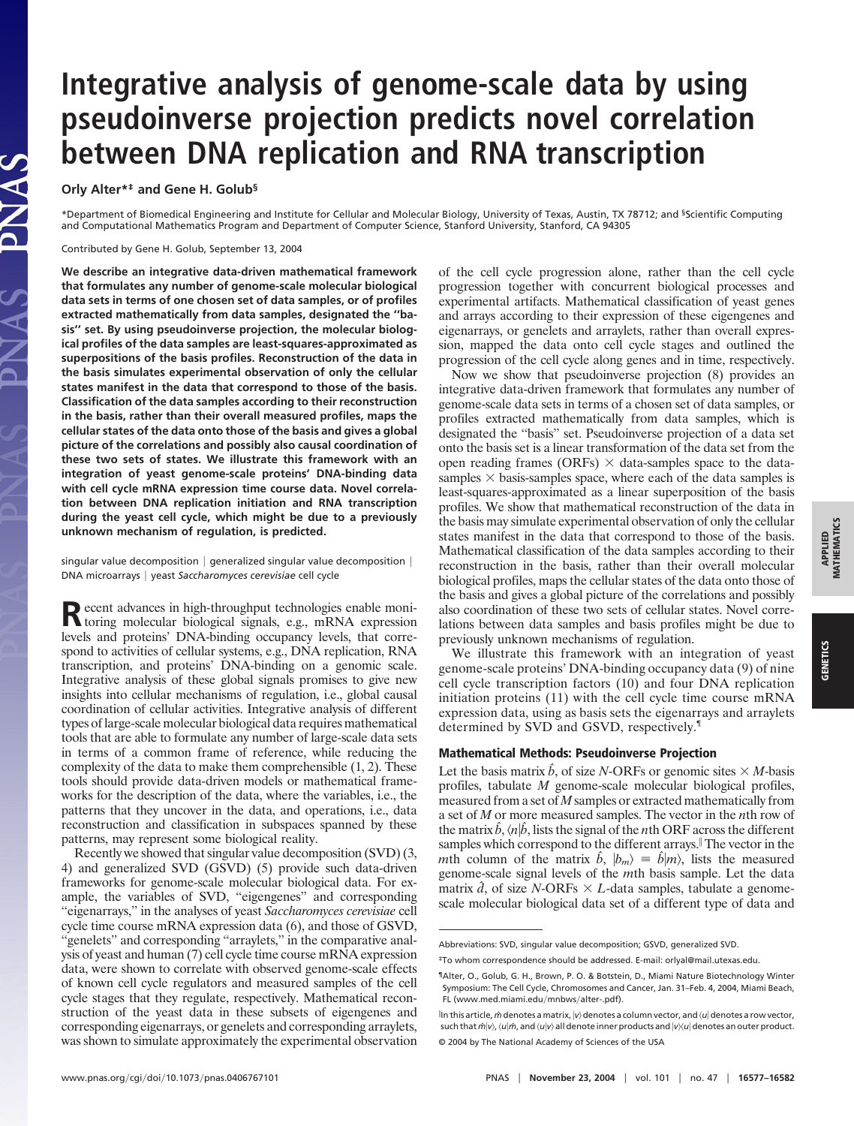## **Integrative analysis of genome-scale data by using pseudoinverse projection predicts novel correlation between DNA replication and RNA transcription**

**Orly Alter\*‡ and Gene H. Golub§**

\*Department of Biomedical Engineering and Institute for Cellular and Molecular Biology, University of Texas, Austin, TX 78712; and §Scientific Computing and Computational Mathematics Program and Department of Computer Science, Stanford University, Stanford, CA 94305

Contributed by Gene H. Golub, September 13, 2004

**We describe an integrative data-driven mathematical framework that formulates any number of genome-scale molecular biological data sets in terms of one chosen set of data samples, or of profiles extracted mathematically from data samples, designated the ''basis'' set. By using pseudoinverse projection, the molecular biological profiles of the data samples are least-squares-approximated as superpositions of the basis profiles. Reconstruction of the data in the basis simulates experimental observation of only the cellular states manifest in the data that correspond to those of the basis. Classification of the data samples according to their reconstruction in the basis, rather than their overall measured profiles, maps the cellular states of the data onto those of the basis and gives a global picture of the correlations and possibly also causal coordination of these two sets of states. We illustrate this framework with an integration of yeast genome-scale proteins' DNA-binding data with cell cycle mRNA expression time course data. Novel correlation between DNA replication initiation and RNA transcription during the yeast cell cycle, which might be due to a previously unknown mechanism of regulation, is predicted.**

singular value decomposition  $|$  generalized singular value decomposition  $|$ DNA microarrays yeast *Saccharomyces cerevisiae* cell cycle

Recent advances in high-throughput technologies enable moni-<br>toring molecular biological signals, e.g., mRNA expression levels and proteins' DNA-binding occupancy levels, that correspond to activities of cellular systems, e.g., DNA replication, RNA transcription, and proteins' DNA-binding on a genomic scale. Integrative analysis of these global signals promises to give new insights into cellular mechanisms of regulation, i.e., global causal coordination of cellular activities. Integrative analysis of different types of large-scale molecular biological data requires mathematical tools that are able to formulate any number of large-scale data sets in terms of a common frame of reference, while reducing the complexity of the data to make them comprehensible (1, 2). These tools should provide data-driven models or mathematical frameworks for the description of the data, where the variables, i.e., the patterns that they uncover in the data, and operations, i.e., data reconstruction and classification in subspaces spanned by these patterns, may represent some biological reality.

Recently we showed that singular value decomposition (SVD) (3, 4) and generalized SVD (GSVD) (5) provide such data-driven frameworks for genome-scale molecular biological data. For example, the variables of SVD, "eigengenes" and corresponding ''eigenarrays,'' in the analyses of yeast *Saccharomyces cerevisiae* cell cycle time course mRNA expression data (6), and those of GSVD, "genelets" and corresponding "arraylets," in the comparative analysis of yeast and human (7) cell cycle time course mRNA expression data, were shown to correlate with observed genome-scale effects of known cell cycle regulators and measured samples of the cell cycle stages that they regulate, respectively. Mathematical reconstruction of the yeast data in these subsets of eigengenes and corresponding eigenarrays, or genelets and corresponding arraylets, was shown to simulate approximately the experimental observation

of the cell cycle progression alone, rather than the cell cycle progression together with concurrent biological processes and experimental artifacts. Mathematical classification of yeast genes and arrays according to their expression of these eigengenes and eigenarrays, or genelets and arraylets, rather than overall expression, mapped the data onto cell cycle stages and outlined the progression of the cell cycle along genes and in time, respectively.

Now we show that pseudoinverse projection (8) provides an integrative data-driven framework that formulates any number of genome-scale data sets in terms of a chosen set of data samples, or profiles extracted mathematically from data samples, which is designated the ''basis'' set. Pseudoinverse projection of a data set onto the basis set is a linear transformation of the data set from the open reading frames (ORFs)  $\times$  data-samples space to the datasamples  $\times$  basis-samples space, where each of the data samples is least-squares-approximated as a linear superposition of the basis profiles. We show that mathematical reconstruction of the data in the basis may simulate experimental observation of only the cellular states manifest in the data that correspond to those of the basis. Mathematical classification of the data samples according to their reconstruction in the basis, rather than their overall molecular biological profiles, maps the cellular states of the data onto those of the basis and gives a global picture of the correlations and possibly also coordination of these two sets of cellular states. Novel correlations between data samples and basis profiles might be due to previously unknown mechanisms of regulation.

We illustrate this framework with an integration of yeast genome-scale proteins' DNA-binding occupancy data (9) of nine cell cycle transcription factors (10) and four DNA replication initiation proteins (11) with the cell cycle time course mRNA expression data, using as basis sets the eigenarrays and arraylets determined by SVD and GSVD, respectively.¶

## **Mathematical Methods: Pseudoinverse Projection**

Let the basis matrix  $\hat{b}$ , of size *N*-ORFs or genomic sites  $\times$  *M*-basis profiles, tabulate *M* genome-scale molecular biological profiles, measured from a set of *M* samples or extracted mathematically from a set of *M* or more measured samples. The vector in the *n*th row of the matrix  $\hat{b}$ ,  $\langle n | \hat{b}$ , lists the signal of the *n*th ORF across the different samples which correspond to the different arrays.<sup>|</sup> The vector in the *m*th column of the matrix  $\hat{b}$ ,  $|b_m\rangle = \hat{b}|m\rangle$ , lists the measured genome-scale signal levels of the *m*th basis sample. Let the data matrix  $\hat{d}$ , of size *N*-ORFs  $\times$  *L*-data samples, tabulate a genomescale molecular biological data set of a different type of data and

Abbreviations: SVD, singular value decomposition; GSVD, generalized SVD.

<sup>‡</sup>To whom correspondence should be addressed. E-mail: orlyal@mail.utexas.edu.

<sup>¶</sup>Alter, O., Golub, G. H., Brown, P. O. & Botstein, D., Miami Nature Biotechnology Winter Symposium: The Cell Cycle, Chromosomes and Cancer, Jan. 31–Feb. 4, 2004, Miami Beach, FL (www.med.miami.edu/mnbws/alter-.pdf).

lln this article, *m̂* denotes a matrix, |v⟩ denotes a column vector, and ⟨u∣ denotes a row vector, such that  $\hat{m}|v\rangle$ ,  $\langle u|\hat{m}$ , and  $\langle u|v\rangle$  all denote inner products and  $|v\rangle\langle u|$  denotes an outer product. © 2004 by The National Academy of Sciences of the USA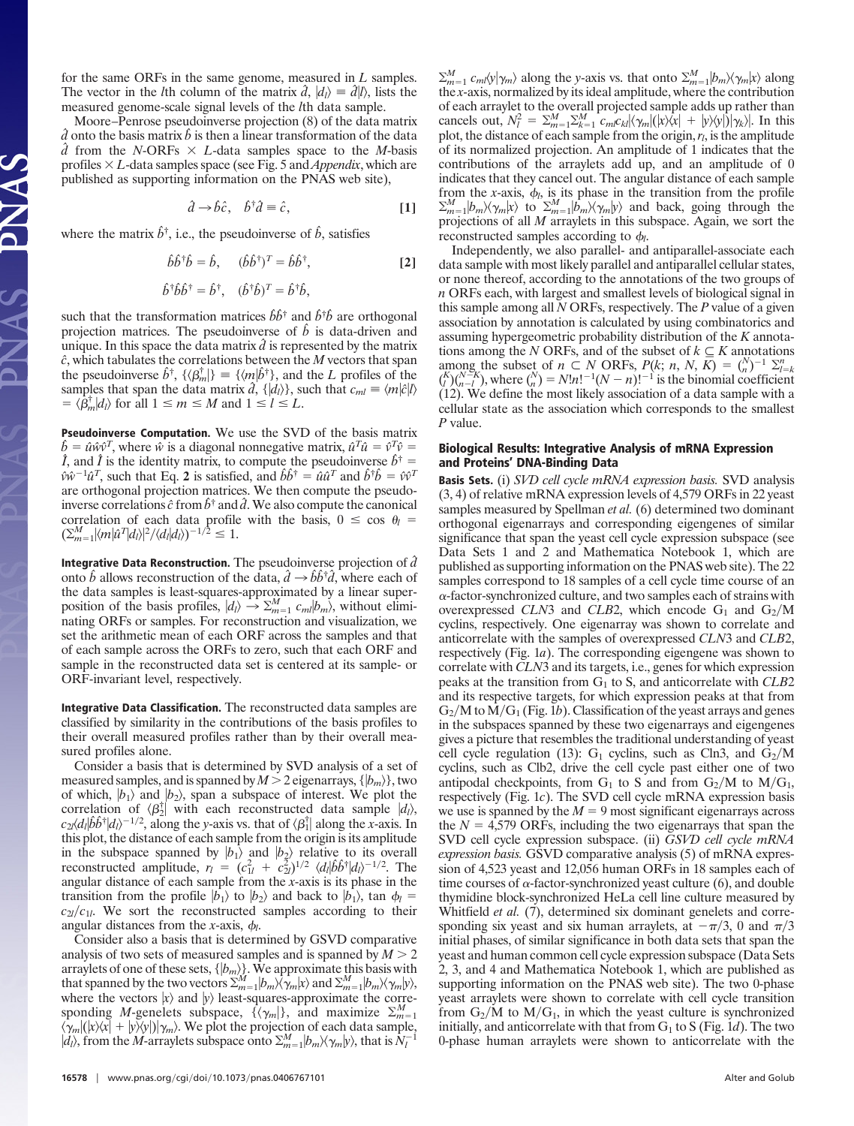for the same ORFs in the same genome, measured in *L* samples. The vector in the *l*th column of the matrix  $\hat{d}$ ,  $|d_l\rangle \equiv \hat{d}|l\rangle$ , lists the measured genome-scale signal levels of the *l*th data sample.

Moore–Penrose pseudoinverse projection (8) of the data matrix  $\hat{d}$  onto the basis matrix  $\hat{b}$  is then a linear transformation of the data  $\hat{d}$  from the *N*-ORFs  $\times$  *L*-data samples space to the *M*-basis profiles  $\times L$ -data samples space (see Fig. 5 and *Appendix*, which are published as supporting information on the PNAS web site),

$$
\hat{d} \to \hat{b}\hat{c}, \quad \hat{b}^\dagger \hat{d} \equiv \hat{c}, \tag{1}
$$

where the matrix  $\hat{b}^{\dagger}$ , i.e., the pseudoinverse of  $\hat{b}$ , satisfies

$$
\hat{b}\hat{b}^{\dagger}\hat{b} = \hat{b}, \quad (\hat{b}\hat{b}^{\dagger})^T = \hat{b}\hat{b}^{\dagger}, \tag{2}
$$

$$
\hat{b}^{\dagger} \hat{b} \hat{b}^{\dagger} = \hat{b}^{\dagger}, \quad (\hat{b}^{\dagger} \hat{b})^T = \hat{b}^{\dagger} \hat{b},
$$

such that the transformation matrices  $\hat{b}\hat{b}^{\dagger}$  and  $\hat{b}^{\dagger}\hat{b}$  are orthogonal projection matrices. The pseudoinverse of  $\hat{b}$  is data-driven and unique. In this space the data matrix  $\hat{d}$  is represented by the matrix *ˆc*, which tabulates the correlations between the *M* vectors that span the pseudoinverse  $\hat{b}^{\dagger}$ ,  $\{\langle \beta_m^{\dagger} | \} \equiv \{\langle m | \hat{b}^{\dagger} \}$ , and the *L* profiles of the samples that span the data matrix  $\hat{d}$ ,  $\{ |d_l \rangle \}$ , such that  $c_{ml} \equiv \langle m | \hat{c} | l \rangle$  $= \langle \hat{\beta}_m^{\dagger} | d_l \rangle$  for all  $1 \le m \le M$  and  $1 \le l \le L$ .

**Pseudoinverse Computation.** We use the SVD of the basis matrix  $\hat{b} = \hat{u}\hat{w}\hat{v}^T$ , where  $\hat{w}$  is a diagonal nonnegative matrix,  $\hat{u}^T\hat{u} = \hat{v}^T\hat{v} = \hat{I}$ , and  $\hat{I}$  is the identity matrix, to compute the pseudoinverse  $\hat{b}^{\dagger}$  $\hat{v}\hat{w}^{-1}\hat{u}^T$ , such that Eq. 2 is satisfied, and  $\hat{b}\hat{b}^{\dagger} = \hat{u}\hat{u}^T$  and  $\hat{b}^{\dagger}\hat{b} = \hat{v}\hat{v}^T$ are orthogonal projection matrices. We then compute the pseudoinverse correlations  $\hat{c}$  from  $\hat{b}^{\dagger}$  and  $\hat{d}$ . We also compute the canonical correlation of each data profile with the basis,  $0 \le \cos \theta$  $(\sum_{m=1}^{M} |\langle m|\hat{u}^T|d_l\rangle|^2/\langle d_l|d_l\rangle)^{-1/2} \leq 1.$ 

**Integrative Data Reconstruction.** The pseudoinverse projection of *dˆ* onto  $\hat{b}$  allows reconstruction of the data,  $\hat{d} \rightarrow \hat{b}\hat{b}^{\dagger}\hat{d}$ , where each of the data samples is least-squares-approximated by a linear superposition of the basis profiles,  $|d_l\rangle \rightarrow \sum_{m=1}^{M} c_m |b_m\rangle$ , without eliminating ORFs or samples. For reconstruction and visualization, we set the arithmetic mean of each ORF across the samples and that of each sample across the ORFs to zero, such that each ORF and sample in the reconstructed data set is centered at its sample- or ORF-invariant level, respectively.

**Integrative Data Classification.** The reconstructed data samples are classified by similarity in the contributions of the basis profiles to their overall measured profiles rather than by their overall measured profiles alone.

Consider a basis that is determined by SVD analysis of a set of measured samples, and is spanned by  $M > 2$  eigenarrays,  $\{|b_m\rangle\}$ , two of which,  $\ket{b_1}$  and  $\ket{b_2}$ , span a subspace of interest. We plot the correlation of  $\langle \beta_2^{\dagger} \rangle$  with each reconstructed data sample  $|d_l\rangle$ ,  $c_2\langle d_l|\hat{b}\hat{b}^{\dagger}|d_l\rangle^{-1/2}$ , along the *y*-axis vs. that of  $\langle \beta_1^{\dagger}|$  along the *x*-axis. In this plot, the distance of each sample from the origin is its amplitude in the subspace spanned by  $|b_1\rangle$  and  $|b_2\rangle$  relative to its overall reconstructed amplitude,  $r_l = (c_{1l}^2 + c_{2l}^2)^{1/2} \langle d_l | \hat{b} \hat{b}^\dagger | d_l \rangle^{-1/2}$ . The angular distance of each sample from the *x*-axis is its phase in the transition from the profile  $|b_1\rangle$  to  $|b_2\rangle$  and back to  $|b_1\rangle$ , tan  $\phi_l =$  $c_{2l}/c_{1l}$ . We sort the reconstructed samples according to their angular distances from the *x*-axis,  $\phi_l$ .

Consider also a basis that is determined by GSVD comparative analysis of two sets of measured samples and is spanned by  $M > 2$ arraylets of one of these sets,  $\{|b_m\rangle\}$ . We approximate this basis with that spanned by the two vectors  $\sum_{m=1}^{M} |b_m\rangle\langle\gamma_m|x\rangle$  and  $\sum_{m=1}^{M} |b_m\rangle\langle\gamma_m|y\rangle$ , where the vectors  $|x\rangle$  and  $|y\rangle$  least-squares-approximate the corresponding *M*-genelets subspace,  $\{\langle \gamma_m | \}$ , and maximize  $\Sigma_{m=1}^M$  $\langle \gamma_m | (x \rangle \langle x | + | y \rangle \langle y |) \rangle \langle m \rangle$ . We plot the projection of each data sample,  $|d_l\rangle$ , from the *M*-arraylets subspace onto  $\Sigma_{m=1}^M | b_m \rangle \langle \gamma_m | y \rangle$ , that is  $N_l^{-1}$ 

 $\sum_{m=1}^{M} c_m \langle \psi | \gamma_m \rangle$  along the *y*-axis vs. that onto  $\sum_{m=1}^{M} |b_m \rangle \langle \gamma_m | x \rangle$  along the *x*-axis, normalized by its ideal amplitude, where the contribution of each arraylet to the overall projected sample adds up rather than cancels out,  $N_l^2 = \sum_{m=1}^{M} \sum_{k=1}^{M} c_m c_{kl} |\langle \gamma_m | (x) \langle x | + |y \rangle \langle y |) |\gamma_k \rangle |$ . In this plot, the distance of each sample from the origin, *rl*, is the amplitude of its normalized projection. An amplitude of 1 indicates that the contributions of the arraylets add up, and an amplitude of 0 indicates that they cancel out. The angular distance of each sample from the *x*-axis,  $\phi_l$ , is its phase in the transition from the profile  $\sum_{m=1}^{M} |b_m\rangle\langle\gamma_m|x\rangle$  to  $\sum_{m=1}^{M} |b_m\rangle\langle\gamma_m|y\rangle$  and back, going through the projections of all *M* arraylets in this subspace. Again, we sort the reconstructed samples according to  $\phi_l$ .

Independently, we also parallel- and antiparallel-associate each data sample with most likely parallel and antiparallel cellular states, or none thereof, according to the annotations of the two groups of *n* ORFs each, with largest and smallest levels of biological signal in this sample among all *N* ORFs, respectively. The *P* value of a given association by annotation is calculated by using combinatorics and assuming hypergeometric probability distribution of the *K* annotations among the *N* ORFs, and of the subset of  $k \subseteq K$  annotations among the subset of  $n \subset N$  ORFs,  $P(k; n, N, \overline{K}) = {N \choose n}^{-1} \sum_{l=k}^{n}$  $\binom{K}{l}\binom{N-K}{n-l}$ , where  $\binom{N}{n} = N!n!^{-1}(N-n)!^{-1}$  is the binomial coefficient (12). We define the most likely association of a data sample with a cellular state as the association which corresponds to the smallest *P* value.

## **Biological Results: Integrative Analysis of mRNA Expression and Proteins' DNA-Binding Data**

**Basis Sets.** (i) *SVD cell cycle mRNA expression basis.* SVD analysis (3, 4) of relative mRNA expression levels of 4,579 ORFs in 22 yeast samples measured by Spellman *et al.* (6) determined two dominant orthogonal eigenarrays and corresponding eigengenes of similar significance that span the yeast cell cycle expression subspace (see Data Sets 1 and 2 and Mathematica Notebook 1, which are published as supporting information on the PNAS web site). The 22 samples correspond to 18 samples of a cell cycle time course of an  $\alpha$ -factor-synchronized culture, and two samples each of strains with overexpressed *CLN*3 and *CLB*2, which encode  $G_1$  and  $G_2/M$ cyclins, respectively. One eigenarray was shown to correlate and anticorrelate with the samples of overexpressed *CLN*3 and *CLB*2, respectively (Fig. 1*a*). The corresponding eigengene was shown to correlate with *CLN*3 and its targets, i.e., genes for which expression peaks at the transition from G1 to S, and anticorrelate with *CLB*2 and its respective targets, for which expression peaks at that from  $G_2/M$  to  $M/G_1$  (Fig. 1*b*). Classification of the yeast arrays and genes in the subspaces spanned by these two eigenarrays and eigengenes gives a picture that resembles the traditional understanding of yeast cell cycle regulation (13): G<sub>1</sub> cyclins, such as Cln3, and G<sub>2</sub>/M cyclins, such as Clb2, drive the cell cycle past either one of two antipodal checkpoints, from  $G_1$  to S and from  $G_2/M$  to  $M/G_1$ , respectively (Fig. 1*c*). The SVD cell cycle mRNA expression basis we use is spanned by the  $M = 9$  most significant eigenarrays across the  $N = 4,579$  ORFs, including the two eigenarrays that span the SVD cell cycle expression subspace. (ii) *GSVD cell cycle mRNA expression basis.* GSVD comparative analysis (5) of mRNA expression of 4,523 yeast and 12,056 human ORFs in 18 samples each of time courses of  $\alpha$ -factor-synchronized yeast culture (6), and double thymidine block-synchronized HeLa cell line culture measured by Whitfield *et al.* (7), determined six dominant genelets and corresponding six yeast and six human arraylets, at  $-\pi/3$ , 0 and  $\pi/3$ initial phases, of similar significance in both data sets that span the yeast and human common cell cycle expression subspace (Data Sets 2, 3, and 4 and Mathematica Notebook 1, which are published as supporting information on the PNAS web site). The two 0-phase yeast arraylets were shown to correlate with cell cycle transition from  $G_2/M$  to  $M/G_1$ , in which the yeast culture is synchronized initially, and anticorrelate with that from  $G_1$  to S (Fig. 1*d*). The two 0-phase human arraylets were shown to anticorrelate with the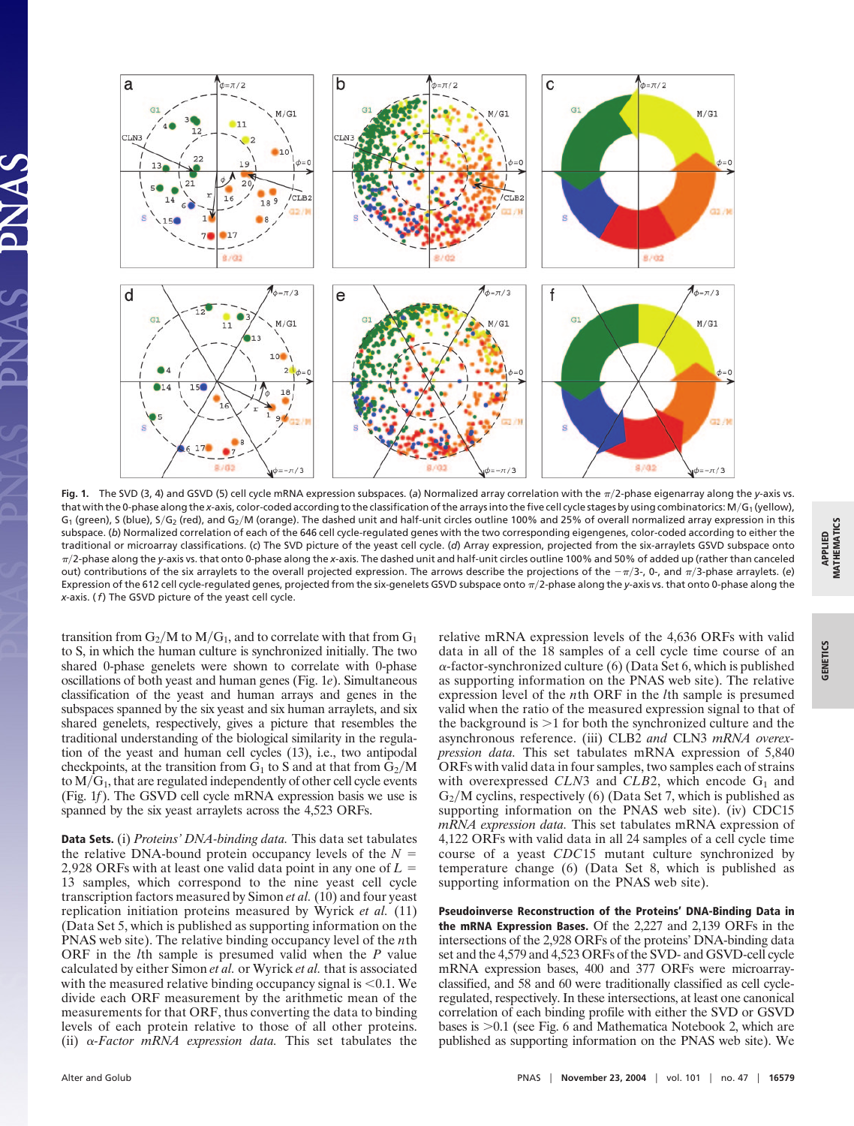

**Fig. 1.** The SVD (3, 4) and GSVD (5) cell cycle mRNA expression subspaces. (a) Normalized array correlation with the  $\pi/2$ -phase eigenarray along the *y*-axis vs. that with the 0-phase along the *x*-axis, color-coded according to the classification of the arrays into the five cell cycle stages by using combinatorics: M/G<sub>1</sub> (yellow),  $G_1$  (green), S (blue), S/G<sub>2</sub> (red), and G<sub>2</sub>/M (orange). The dashed unit and half-unit circles outline 100% and 25% of overall normalized array expression in this subspace. (*b*) Normalized correlation of each of the 646 cell cycle-regulated genes with the two corresponding eigengenes, color-coded according to either the traditional or microarray classifications. (*c*) The SVD picture of the yeast cell cycle. (*d*) Array expression, projected from the six-arraylets GSVD subspace onto  $\pi/2$ -phase along the y-axis vs. that onto 0-phase along the x-axis. The dashed unit and half-unit circles outline 100% and 50% of added up (rather than canceled out) contributions of the six arraylets to the overall projected expression. The arrows describe the projections of the  $-\pi/3$ -, 0-, and  $\pi/3$ -phase arraylets. (e) Expression of the 612 cell cycle-regulated genes, projected from the six-genelets GSVD subspace onto  $\pi/2$ -phase along the *y*-axis vs. that onto 0-phase along the *x*-axis. (*f*) The GSVD picture of the yeast cell cycle.

transition from  $G_2/M$  to  $M/G_1$ , and to correlate with that from  $G_1$ to S, in which the human culture is synchronized initially. The two shared 0-phase genelets were shown to correlate with 0-phase oscillations of both yeast and human genes (Fig. 1*e*). Simultaneous classification of the yeast and human arrays and genes in the subspaces spanned by the six yeast and six human arraylets, and six shared genelets, respectively, gives a picture that resembles the traditional understanding of the biological similarity in the regulation of the yeast and human cell cycles (13), i.e., two antipodal checkpoints, at the transition from  $G_1$  to S and at that from  $G_2/M$ to  $M/G<sub>1</sub>$ , that are regulated independently of other cell cycle events (Fig. 1*f*). The GSVD cell cycle mRNA expression basis we use is spanned by the six yeast arraylets across the 4,523 ORFs.

**Data Sets.** (i) *Proteins' DNA-binding data.* This data set tabulates the relative DNA-bound protein occupancy levels of the  $N =$ 2,928 ORFs with at least one valid data point in any one of *L* 13 samples, which correspond to the nine yeast cell cycle transcription factors measured by Simon *et al.* (10) and four yeast replication initiation proteins measured by Wyrick *et al.* (11) (Data Set 5, which is published as supporting information on the PNAS web site). The relative binding occupancy level of the *n*th ORF in the *l*th sample is presumed valid when the *P* value calculated by either Simon *et al.* or Wyrick *et al.* that is associated with the measured relative binding occupancy signal is  $\leq 0.1$ . We divide each ORF measurement by the arithmetic mean of the measurements for that ORF, thus converting the data to binding levels of each protein relative to those of all other proteins. (ii)  $\alpha$ -Factor mRNA expression data. This set tabulates the

relative mRNA expression levels of the 4,636 ORFs with valid data in all of the 18 samples of a cell cycle time course of an  $\alpha$ -factor-synchronized culture (6) (Data Set 6, which is published as supporting information on the PNAS web site). The relative expression level of the *n*th ORF in the *l*th sample is presumed valid when the ratio of the measured expression signal to that of the background is 1 for both the synchronized culture and the asynchronous reference. (iii) CLB2 *and* CLN3 *mRNA overexpression data.* This set tabulates mRNA expression of 5,840 ORFs with valid data in four samples, two samples each of strains with overexpressed  $CLN3$  and  $CLB2$ , which encode  $G_1$  and  $G_2/M$  cyclins, respectively (6) (Data Set 7, which is published as supporting information on the PNAS web site). (iv) CDC15 *mRNA expression data.* This set tabulates mRNA expression of 4,122 ORFs with valid data in all 24 samples of a cell cycle time course of a yeast *CDC*15 mutant culture synchronized by temperature change (6) (Data Set 8, which is published as supporting information on the PNAS web site).

**Pseudoinverse Reconstruction of the Proteins' DNA-Binding Data in the mRNA Expression Bases.** Of the 2,227 and 2,139 ORFs in the intersections of the 2,928 ORFs of the proteins' DNA-binding data set and the 4,579 and 4,523 ORFs of the SVD- and GSVD-cell cycle mRNA expression bases, 400 and 377 ORFs were microarrayclassified, and 58 and 60 were traditionally classified as cell cycleregulated, respectively. In these intersections, at least one canonical correlation of each binding profile with either the SVD or GSVD bases is 0.1 (see Fig. 6 and Mathematica Notebook 2, which are published as supporting information on the PNAS web site). We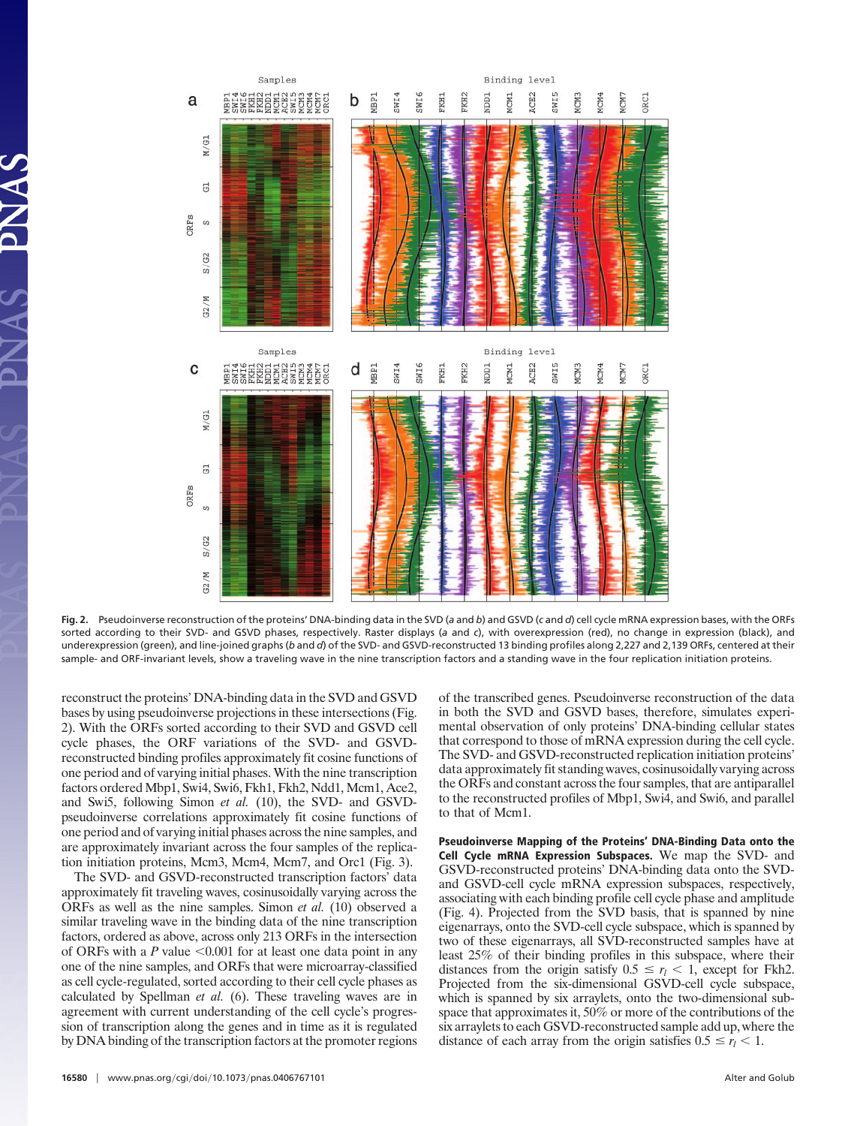

**Fig. 2.** Pseudoinverse reconstruction of the proteins' DNA-binding data in the SVD (*a* and *b*) and GSVD (*c* and *d*) cell cycle mRNA expression bases, with the ORFs sorted according to their SVD- and GSVD phases, respectively. Raster displays (*a* and *c*), with overexpression (red), no change in expression (black), and underexpression (green), and line-joined graphs (*b* and *d*) of the SVD- and GSVD-reconstructed 13 binding profiles along 2,227 and 2,139 ORFs, centered at their sample- and ORF-invariant levels, show a traveling wave in the nine transcription factors and a standing wave in the four replication initiation proteins.

reconstruct the proteins' DNA-binding data in the SVD and GSVD bases by using pseudoinverse projections in these intersections (Fig. 2). With the ORFs sorted according to their SVD and GSVD cell cycle phases, the ORF variations of the SVD- and GSVDreconstructed binding profiles approximately fit cosine functions of one period and of varying initial phases. With the nine transcription factors ordered Mbp1, Swi4, Swi6, Fkh1, Fkh2, Ndd1, Mcm1, Ace2, and Swi5, following Simon *et al.* (10), the SVD- and GSVDpseudoinverse correlations approximately fit cosine functions of one period and of varying initial phases across the nine samples, and are approximately invariant across the four samples of the replication initiation proteins, Mcm3, Mcm4, Mcm7, and Orc1 (Fig. 3).

The SVD- and GSVD-reconstructed transcription factors' data approximately fit traveling waves, cosinusoidally varying across the ORFs as well as the nine samples. Simon *et al.* (10) observed a similar traveling wave in the binding data of the nine transcription factors, ordered as above, across only 213 ORFs in the intersection of ORFs with a  $P$  value  $\leq 0.001$  for at least one data point in any one of the nine samples, and ORFs that were microarray-classified as cell cycle-regulated, sorted according to their cell cycle phases as calculated by Spellman *et al.* (6). These traveling waves are in agreement with current understanding of the cell cycle's progression of transcription along the genes and in time as it is regulated by DNA binding of the transcription factors at the promoter regions

**16580** www.pnas.org/cgi/doi/10.1073/pnas.0406767101 Alter and Golub Alter and Golub Alter and Golub

of the transcribed genes. Pseudoinverse reconstruction of the data in both the SVD and GSVD bases, therefore, simulates experimental observation of only proteins' DNA-binding cellular states that correspond to those of mRNA expression during the cell cycle. The SVD- and GSVD-reconstructed replication initiation proteins' data approximately fit standing waves, cosinusoidally varying across the ORFs and constant across the four samples, that are antiparallel to the reconstructed profiles of Mbp1, Swi4, and Swi6, and parallel to that of Mcm1.

**Pseudoinverse Mapping of the Proteins' DNA-Binding Data onto the Cell Cycle mRNA Expression Subspaces.** We map the SVD- and GSVD-reconstructed proteins' DNA-binding data onto the SVDand GSVD-cell cycle mRNA expression subspaces, respectively, associating with each binding profile cell cycle phase and amplitude (Fig. 4). Projected from the SVD basis, that is spanned by nine eigenarrays, onto the SVD-cell cycle subspace, which is spanned by two of these eigenarrays, all SVD-reconstructed samples have at least 25% of their binding profiles in this subspace, where their distances from the origin satisfy  $0.5 \le r_l < 1$ , except for Fkh2. Projected from the six-dimensional GSVD-cell cycle subspace, which is spanned by six arraylets, onto the two-dimensional subspace that approximates it, 50% or more of the contributions of the six arraylets to each GSVD-reconstructed sample add up, where the distance of each array from the origin satisfies  $0.5 \le r_l < 1$ .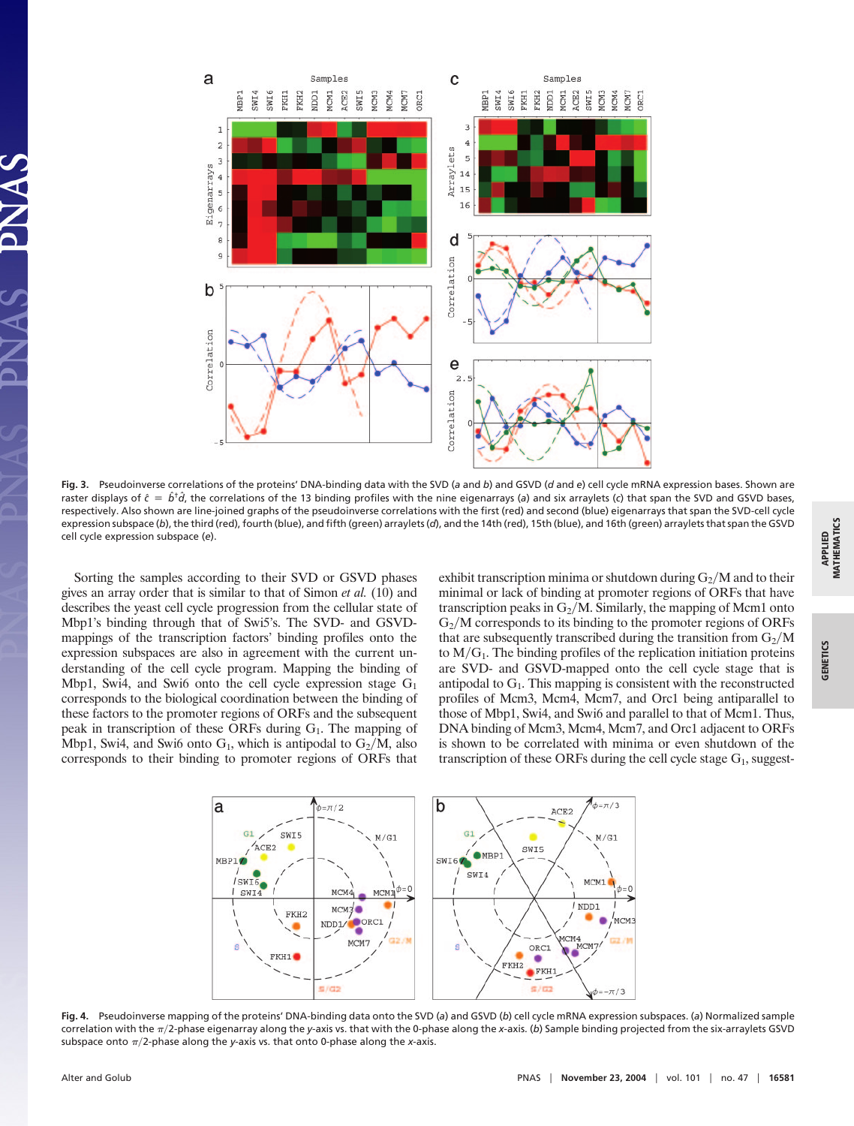

**Fig. 3.** Pseudoinverse correlations of the proteins' DNA-binding data with the SVD (*a* and *b*) and GSVD (*d* and *e*) cell cycle mRNA expression bases. Shown are raster displays of  $\hat{c} = \hat{b}^{\dagger} \hat{d}$ , the correlations of the 13 binding profiles with the nine eigenarrays (*a*) and six arraylets (*c*) that span the SVD and GSVD bases, respectively. Also shown are line-joined graphs of the pseudoinverse correlations with the first (red) and second (blue) eigenarrays that span the SVD-cell cycle expression subspace (*b*), the third (red), fourth (blue), and fifth (green) arraylets (*d*), and the 14th (red), 15th (blue), and 16th (green) arraylets that span the GSVD cell cycle expression subspace (*e*).

Sorting the samples according to their SVD or GSVD phases gives an array order that is similar to that of Simon *et al.* (10) and describes the yeast cell cycle progression from the cellular state of Mbp1's binding through that of Swi5's. The SVD- and GSVDmappings of the transcription factors' binding profiles onto the expression subspaces are also in agreement with the current understanding of the cell cycle program. Mapping the binding of Mbp1, Swi4, and Swi6 onto the cell cycle expression stage  $G_1$ corresponds to the biological coordination between the binding of these factors to the promoter regions of ORFs and the subsequent peak in transcription of these ORFs during  $G_1$ . The mapping of Mbp1, Swi4, and Swi6 onto  $G_1$ , which is antipodal to  $G_2/M$ , also corresponds to their binding to promoter regions of ORFs that exhibit transcription minima or shutdown during  $G_2/M$  and to their minimal or lack of binding at promoter regions of ORFs that have transcription peaks in  $G_2/M$ . Similarly, the mapping of Mcm1 onto  $G<sub>2</sub>/M$  corresponds to its binding to the promoter regions of ORFs that are subsequently transcribed during the transition from  $G_2/M$ to  $M/G_1$ . The binding profiles of the replication initiation proteins are SVD- and GSVD-mapped onto the cell cycle stage that is antipodal to  $G_1$ . This mapping is consistent with the reconstructed profiles of Mcm3, Mcm4, Mcm7, and Orc1 being antiparallel to those of Mbp1, Swi4, and Swi6 and parallel to that of Mcm1. Thus, DNA binding of Mcm3, Mcm4, Mcm7, and Orc1 adjacent to ORFs is shown to be correlated with minima or even shutdown of the transcription of these ORFs during the cell cycle stage  $G_1$ , suggest-



**Fig. 4.** Pseudoinverse mapping of the proteins' DNA-binding data onto the SVD (*a*) and GSVD (*b*) cell cycle mRNA expression subspaces. (*a*) Normalized sample correlation with the  $\pi/2$ -phase eigenarray along the *y*-axis vs. that with the 0-phase along the *x*-axis. (b) Sample binding projected from the six-arraylets GSVD subspace onto  $\pi/2$ -phase along the *y*-axis vs. that onto 0-phase along the *x*-axis.